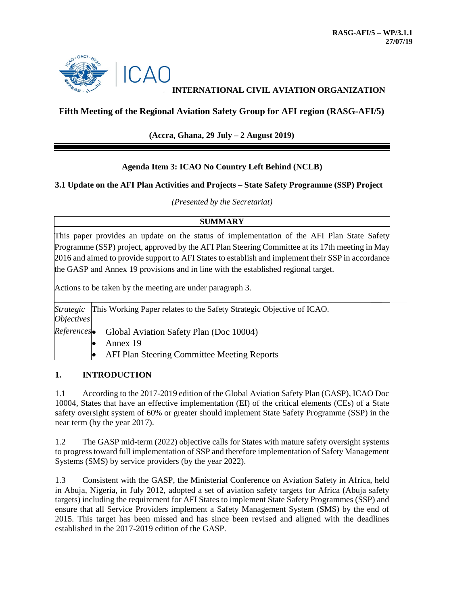

# **INTERNATIONAL CIVIL AVIATION ORGANIZATION**

# **Fifth Meeting of the Regional Aviation Safety Group for AFI region (RASG-AFI/5)**

## **(Accra, Ghana, 29 July – 2 August 2019)**

#### **Agenda Item 3: ICAO No Country Left Behind (NCLB)**

#### **3.1 Update on the AFI Plan Activities and Projects – State Safety Programme (SSP) Project**

*(Presented by the Secretariat)*

#### **SUMMARY**

This paper provides an update on the status of implementation of the AFI Plan State Safety Programme (SSP) project, approved by the AFI Plan Steering Committee at its 17th meeting in May 2016 and aimed to provide support to AFI States to establish and implement their SSP in accordance the GASP and Annex 19 provisions and in line with the established regional target.

Actions to be taken by the meeting are under paragraph 3.

| <i><b>Objectives</b></i> | <i>Strategic</i> This Working Paper relates to the Safety Strategic Objective of ICAO. |
|--------------------------|----------------------------------------------------------------------------------------|
|                          | References Global Aviation Safety Plan (Doc 10004)                                     |
|                          | Annex 19                                                                               |
|                          | <b>AFI Plan Steering Committee Meeting Reports</b>                                     |

#### **1. INTRODUCTION**

1.1 According to the 2017-2019 edition of the Global Aviation Safety Plan (GASP), ICAO Doc 10004, States that have an effective implementation (EI) of the critical elements (CEs) of a State safety oversight system of 60% or greater should implement State Safety Programme (SSP) in the near term (by the year 2017).

1.2 The GASP mid-term (2022) objective calls for States with mature safety oversight systems to progress toward full implementation of SSP and therefore implementation of Safety Management Systems (SMS) by service providers (by the year 2022).

1.3 Consistent with the GASP, the Ministerial Conference on Aviation Safety in Africa, held in Abuja, Nigeria, in July 2012, adopted a set of aviation safety targets for Africa (Abuja safety targets) including the requirement for AFI States to implement State Safety Programmes (SSP) and ensure that all Service Providers implement a Safety Management System (SMS) by the end of 2015. This target has been missed and has since been revised and aligned with the deadlines established in the 2017-2019 edition of the GASP.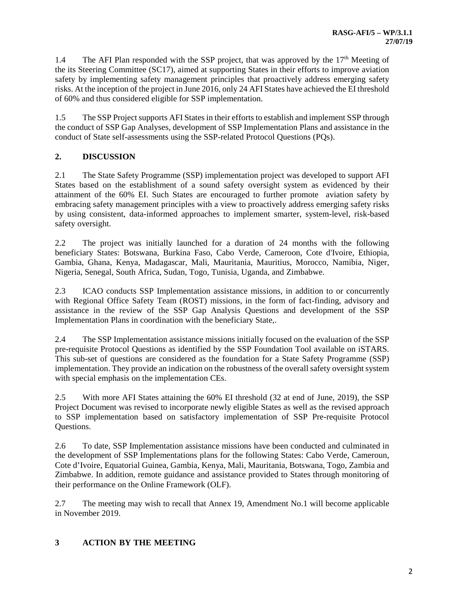1.4 The AFI Plan responded with the SSP project, that was approved by the 17<sup>th</sup> Meeting of the its Steering Committee (SC17), aimed at supporting States in their efforts to improve aviation safety by implementing safety management principles that proactively address emerging safety risks. At the inception of the project in June 2016, only 24 AFI States have achieved the EI threshold of 60% and thus considered eligible for SSP implementation.

1.5 The SSP Project supports AFI States in their efforts to establish and implement SSP through the conduct of SSP Gap Analyses, development of SSP Implementation Plans and assistance in the conduct of State self-assessments using the SSP-related Protocol Questions (PQs).

# **2. DISCUSSION**

2.1 The State Safety Programme (SSP) implementation project was developed to support AFI States based on the establishment of a sound safety oversight system as evidenced by their attainment of the 60% EI. Such States are encouraged to further promote aviation safety by embracing safety management principles with a view to proactively address emerging safety risks by using consistent, data-informed approaches to implement smarter, system-level, risk-based safety oversight.

2.2 The project was initially launched for a duration of 24 months with the following beneficiary States: Botswana, Burkina Faso, Cabo Verde, Cameroon, Cote d'Ivoire, Ethiopia, Gambia, Ghana, Kenya, Madagascar, Mali, Mauritania, Mauritius, Morocco, Namibia, Niger, Nigeria, Senegal, South Africa, Sudan, Togo, Tunisia, Uganda, and Zimbabwe.

2.3 ICAO conducts SSP Implementation assistance missions, in addition to or concurrently with Regional Office Safety Team (ROST) missions, in the form of fact-finding, advisory and assistance in the review of the SSP Gap Analysis Questions and development of the SSP Implementation Plans in coordination with the beneficiary State,.

2.4 The SSP Implementation assistance missions initially focused on the evaluation of the SSP pre-requisite Protocol Questions as identified by the SSP Foundation Tool available on iSTARS. This sub-set of questions are considered as the foundation for a State Safety Programme (SSP) implementation. They provide an indication on the robustness of the overall safety oversight system with special emphasis on the implementation CEs.

2.5 With more AFI States attaining the 60% EI threshold (32 at end of June, 2019), the SSP Project Document was revised to incorporate newly eligible States as well as the revised approach to SSP implementation based on satisfactory implementation of SSP Pre-requisite Protocol Questions.

2.6 To date, SSP Implementation assistance missions have been conducted and culminated in the development of SSP Implementations plans for the following States: Cabo Verde, Cameroun, Cote d'Ivoire, Equatorial Guinea, Gambia, Kenya, Mali, Mauritania, Botswana, Togo, Zambia and Zimbabwe. In addition, remote guidance and assistance provided to States through monitoring of their performance on the Online Framework (OLF).

2.7 The meeting may wish to recall that Annex 19, Amendment No.1 will become applicable in November 2019.

## **3 ACTION BY THE MEETING**